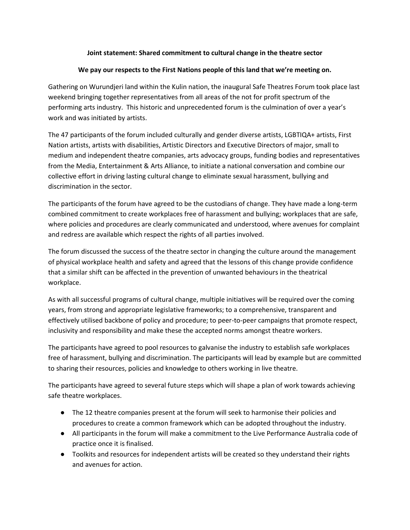## **Joint statement: Shared commitment to cultural change in the theatre sector**

## **We pay our respects to the First Nations people of this land that we're meeting on.**

Gathering on Wurundjeri land within the Kulin nation, the inaugural Safe Theatres Forum took place last weekend bringing together representatives from all areas of the not for profit spectrum of the performing arts industry. This historic and unprecedented forum is the culmination of over a year's work and was initiated by artists.

The 47 participants of the forum included culturally and gender diverse artists, LGBTIQA+ artists, First Nation artists, artists with disabilities, Artistic Directors and Executive Directors of major, small to medium and independent theatre companies, arts advocacy groups, funding bodies and representatives from the Media, Entertainment & Arts Alliance, to initiate a national conversation and combine our collective effort in driving lasting cultural change to eliminate sexual harassment, bullying and discrimination in the sector.

The participants of the forum have agreed to be the custodians of change. They have made a long-term combined commitment to create workplaces free of harassment and bullying; workplaces that are safe, where policies and procedures are clearly communicated and understood, where avenues for complaint and redress are available which respect the rights of all parties involved.

The forum discussed the success of the theatre sector in changing the culture around the management of physical workplace health and safety and agreed that the lessons of this change provide confidence that a similar shift can be affected in the prevention of unwanted behaviours in the theatrical workplace.

As with all successful programs of cultural change, multiple initiatives will be required over the coming years, from strong and appropriate legislative frameworks; to a comprehensive, transparent and effectively utilised backbone of policy and procedure; to peer-to-peer campaigns that promote respect, inclusivity and responsibility and make these the accepted norms amongst theatre workers.

The participants have agreed to pool resources to galvanise the industry to establish safe workplaces free of harassment, bullying and discrimination. The participants will lead by example but are committed to sharing their resources, policies and knowledge to others working in live theatre.

The participants have agreed to several future steps which will shape a plan of work towards achieving safe theatre workplaces.

- The 12 theatre companies present at the forum will seek to harmonise their policies and procedures to create a common framework which can be adopted throughout the industry.
- All participants in the forum will make a commitment to the Live Performance Australia code of practice once it is finalised.
- Toolkits and resources for independent artists will be created so they understand their rights and avenues for action.